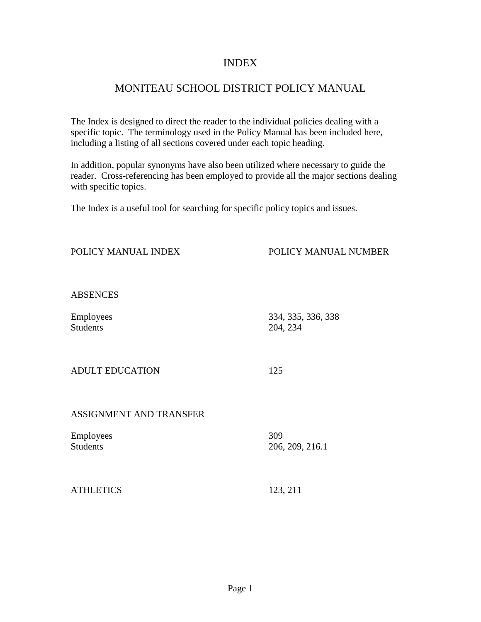### INDEX

## MONITEAU SCHOOL DISTRICT POLICY MANUAL

The Index is designed to direct the reader to the individual policies dealing with a specific topic. The terminology used in the Policy Manual has been included here, including a listing of all sections covered under each topic heading.

In addition, popular synonyms have also been utilized where necessary to guide the reader. Cross-referencing has been employed to provide all the major sections dealing with specific topics.

POLICY MANUAL INDEX POLICY MANUAL NUMBER

The Index is a useful tool for searching for specific policy topics and issues.

| <b>ABSENCES</b>              |                                |
|------------------------------|--------------------------------|
| Employees<br><b>Students</b> | 334, 335, 336, 338<br>204, 234 |
| <b>ADULT EDUCATION</b>       | 125                            |
| ASSIGNMENT AND TRANSFER      |                                |
| Employees<br><b>Students</b> | 309<br>206, 209, 216.1         |
| <b>ATHLETICS</b>             | 123, 211                       |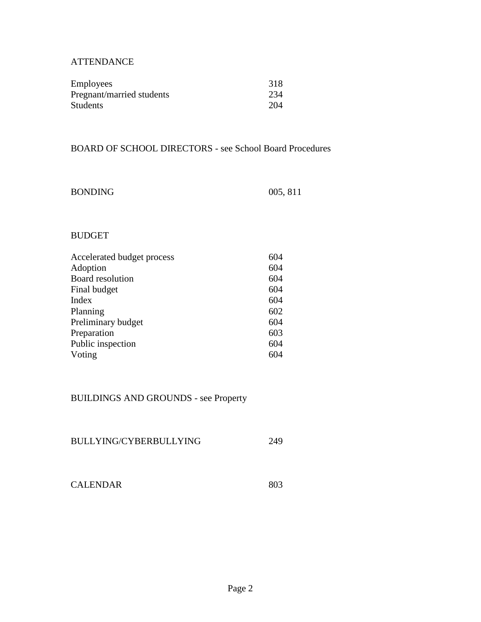### **ATTENDANCE**

| <b>Employees</b>          | 318 |
|---------------------------|-----|
| Pregnant/married students | 234 |
| <b>Students</b>           | 204 |

### BOARD OF SCHOOL DIRECTORS - see School Board Procedures

| <b>BONDING</b> | 005, 811 |
|----------------|----------|
|----------------|----------|

### BUDGET

| Accelerated budget process | 604 |
|----------------------------|-----|
| Adoption                   | 604 |
| Board resolution           | 604 |
| Final budget               | 604 |
| Index                      | 604 |
| Planning                   | 602 |
| Preliminary budget         | 604 |
| Preparation                | 603 |
| Public inspection          | 604 |
| Voting                     | 604 |

### BUILDINGS AND GROUNDS - see Property

| BULLYING/CYBERBULLYING |  |
|------------------------|--|
|                        |  |

| <b>CALENDAR</b> | 803 |
|-----------------|-----|
|-----------------|-----|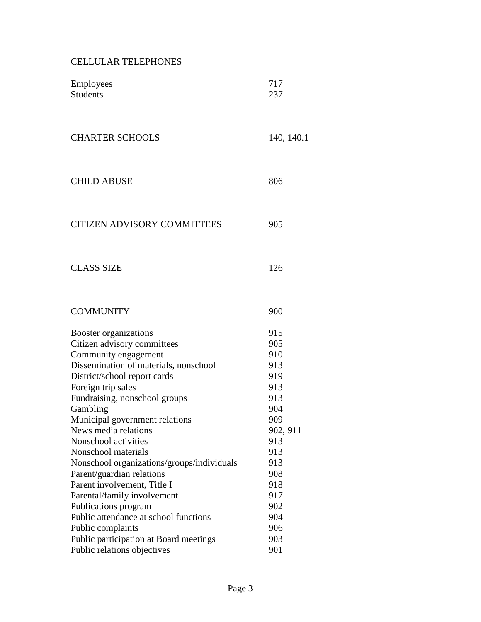## CELLULAR TELEPHONES

| Employees<br><b>Students</b>               | 717<br>237 |
|--------------------------------------------|------------|
| <b>CHARTER SCHOOLS</b>                     | 140, 140.1 |
| <b>CHILD ABUSE</b>                         | 806        |
| <b>CITIZEN ADVISORY COMMITTEES</b>         | 905        |
| <b>CLASS SIZE</b>                          | 126        |
| <b>COMMUNITY</b>                           | 900        |
| Booster organizations                      | 915        |
| Citizen advisory committees                | 905        |
| Community engagement                       | 910        |
| Dissemination of materials, nonschool      | 913        |
| District/school report cards               | 919        |
| Foreign trip sales                         | 913        |
| Fundraising, nonschool groups              | 913        |
| Gambling                                   | 904        |
| Municipal government relations             | 909        |
| News media relations                       | 902, 911   |
| Nonschool activities                       | 913        |
| Nonschool materials                        | 913        |
| Nonschool organizations/groups/individuals | 913        |
| Parent/guardian relations                  | 908        |
| Parent involvement, Title I                | 918        |
| Parental/family involvement                | 917        |
| Publications program                       | 902        |
| Public attendance at school functions      | 904        |
| Public complaints                          | 906        |
| Public participation at Board meetings     | 903        |
| Public relations objectives                | 901        |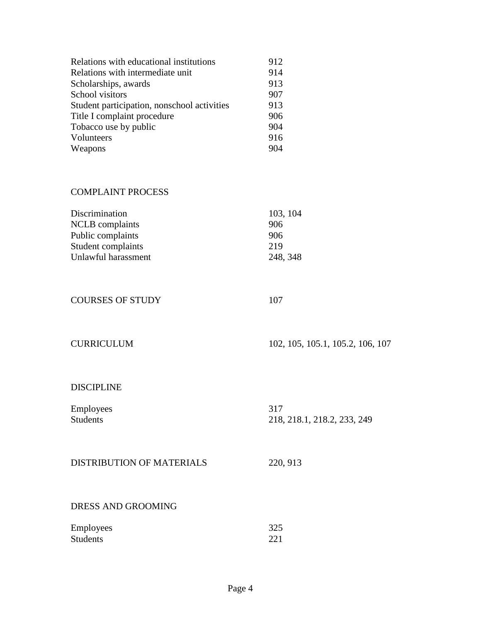| Relations with educational institutions     | 912 |
|---------------------------------------------|-----|
| Relations with intermediate unit            | 914 |
| Scholarships, awards                        | 913 |
| School visitors                             | 907 |
| Student participation, nonschool activities | 913 |
| Title I complaint procedure                 | 906 |
| Tobacco use by public                       | 904 |
| Volunteers                                  | 916 |
| Weapons                                     | 904 |

### COMPLAINT PROCESS

| 103, 104 |
|----------|
| 906      |
| 906      |
| 219      |
| 248, 348 |
|          |

### COURSES OF STUDY 107

| <b>CURRICULUM</b> |  |
|-------------------|--|
|                   |  |

102, 105, 105.1, 105.2, 106, 107

### DISCIPLINE

| Employees | 317                         |
|-----------|-----------------------------|
| Students  | 218, 218.1, 218.2, 233, 249 |
|           |                             |

### DISTRIBUTION OF MATERIALS 220, 913

### DRESS AND GROOMING

| Employees | 325 |
|-----------|-----|
| Students  | 221 |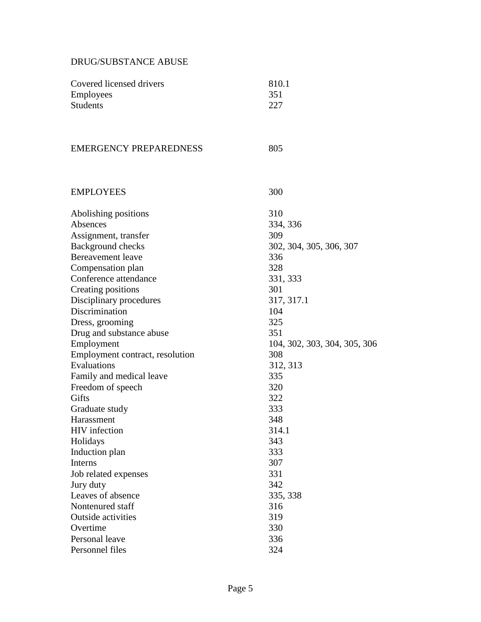### DRUG/SUBSTANCE ABUSE

| Covered licensed drivers        | 810.1                        |
|---------------------------------|------------------------------|
| <b>Employees</b>                | 351                          |
| <b>Students</b>                 | 227                          |
|                                 |                              |
| <b>EMERGENCY PREPAREDNESS</b>   | 805                          |
| <b>EMPLOYEES</b>                | 300                          |
| Abolishing positions            | 310                          |
| Absences                        | 334, 336                     |
| Assignment, transfer            | 309                          |
| Background checks               | 302, 304, 305, 306, 307      |
| <b>Bereavement</b> leave        | 336                          |
| Compensation plan               | 328                          |
| Conference attendance           | 331, 333                     |
| Creating positions              | 301                          |
| Disciplinary procedures         | 317, 317.1                   |
| Discrimination                  | 104                          |
| Dress, grooming                 | 325                          |
| Drug and substance abuse        | 351                          |
| Employment                      | 104, 302, 303, 304, 305, 306 |
| Employment contract, resolution | 308                          |
| Evaluations                     | 312, 313                     |
| Family and medical leave        | 335                          |
| Freedom of speech               | 320                          |
| Gifts                           | 322                          |
| Graduate study                  | 333                          |
| Harassment                      | 348                          |
| HIV infection                   | 314.1                        |
| Holidays                        | 343                          |
| Induction plan                  | 333                          |
| Interns                         | 307                          |
| Job related expenses            | 331                          |
| Jury duty                       | 342                          |
| Leaves of absence               | 335, 338                     |
| Nontenured staff                | 316                          |
| Outside activities              | 319                          |
| Overtime                        | 330                          |
| Personal leave                  | 336                          |
| Personnel files                 | 324                          |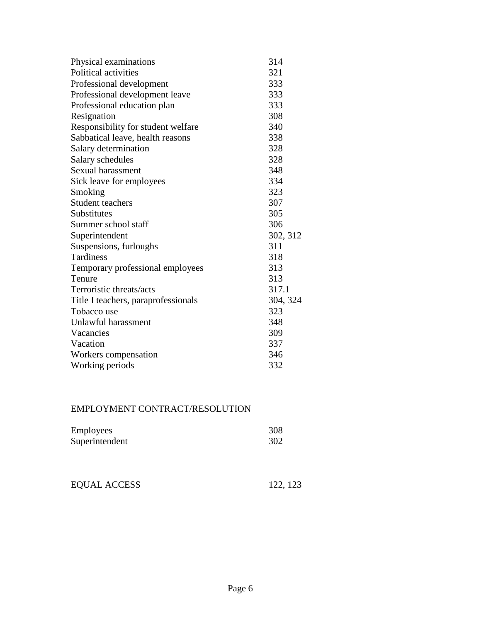| Physical examinations               | 314      |
|-------------------------------------|----------|
| Political activities                | 321      |
| Professional development            | 333      |
| Professional development leave      | 333      |
| Professional education plan         | 333      |
| Resignation                         | 308      |
| Responsibility for student welfare  | 340      |
| Sabbatical leave, health reasons    | 338      |
| Salary determination                | 328      |
| Salary schedules                    | 328      |
| Sexual harassment                   | 348      |
| Sick leave for employees            | 334      |
| Smoking                             | 323      |
| <b>Student teachers</b>             | 307      |
| Substitutes                         | 305      |
| Summer school staff                 | 306      |
| Superintendent                      | 302, 312 |
| Suspensions, furloughs              | 311      |
| <b>Tardiness</b>                    | 318      |
| Temporary professional employees    | 313      |
| Tenure                              | 313      |
| Terroristic threats/acts            | 317.1    |
| Title I teachers, paraprofessionals | 304, 324 |
| Tobacco use                         | 323      |
| Unlawful harassment                 | 348      |
| Vacancies                           | 309      |
| Vacation                            | 337      |
| Workers compensation                | 346      |
| Working periods                     | 332      |

## EMPLOYMENT CONTRACT/RESOLUTION

| <b>Employees</b> | 308 |
|------------------|-----|
| Superintendent   | 302 |

| EQUAL ACCESS | 122, 123 |
|--------------|----------|
|              |          |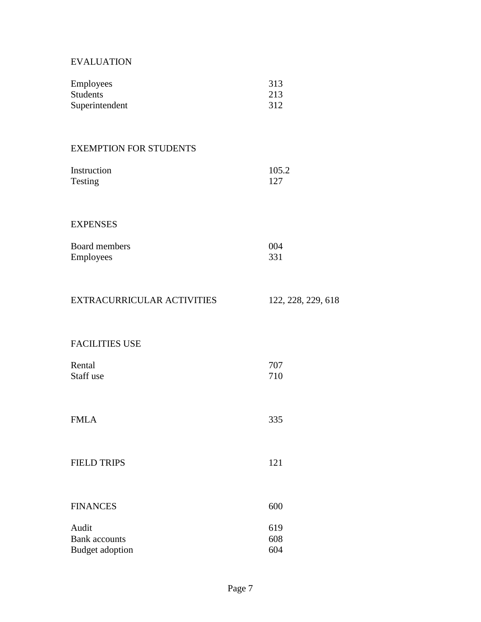### EVALUATION

| <b>Employees</b> | 313 |
|------------------|-----|
| <b>Students</b>  | 213 |
| Superintendent   | 312 |

### EXEMPTION FOR STUDENTS

| Instruction | 105.2 |
|-------------|-------|
| Testing     | 127   |

#### EXPENSES

| Board members    | 004 |
|------------------|-----|
| <b>Employees</b> | 331 |

# EXTRACURRICULAR ACTIVITIES 122, 228, 229, 618

### FACILITIES USE

| Rental<br>Staff use | 707<br>710 |
|---------------------|------------|
| <b>FMLA</b>         | 335        |
| <b>FIELD TRIPS</b>  | 121        |

# FINANCES 600

| 619 |
|-----|
| 608 |
| 604 |
|     |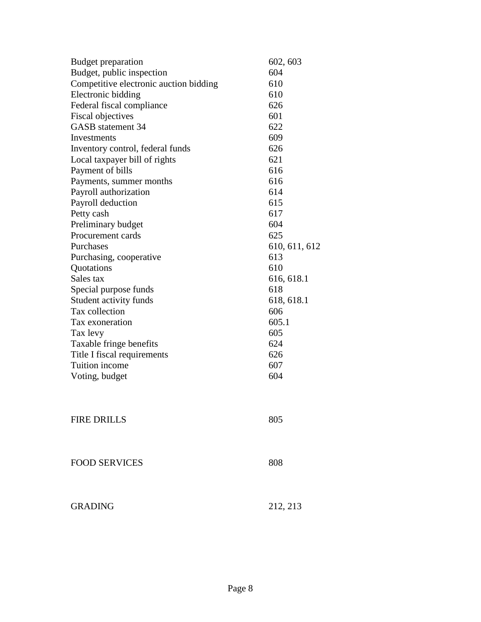| Budget preparation                     | 602, 603      |
|----------------------------------------|---------------|
| Budget, public inspection              | 604           |
| Competitive electronic auction bidding | 610           |
| Electronic bidding                     | 610           |
| Federal fiscal compliance              | 626           |
| <b>Fiscal objectives</b>               | 601           |
| <b>GASB</b> statement 34               | 622           |
| Investments                            | 609           |
| Inventory control, federal funds       | 626           |
| Local taxpayer bill of rights          | 621           |
| Payment of bills                       | 616           |
| Payments, summer months                | 616           |
| Payroll authorization                  | 614           |
| Payroll deduction                      | 615           |
| Petty cash                             | 617           |
| Preliminary budget                     | 604           |
| Procurement cards                      | 625           |
| Purchases                              | 610, 611, 612 |
| Purchasing, cooperative                | 613           |
| Quotations                             | 610           |
| Sales tax                              | 616, 618.1    |
| Special purpose funds                  | 618           |
| Student activity funds                 | 618, 618.1    |
| Tax collection                         | 606           |
| Tax exoneration                        | 605.1         |
| Tax levy                               | 605           |
| Taxable fringe benefits                | 624           |
| Title I fiscal requirements            | 626           |
| Tuition income                         | 607           |
| Voting, budget                         | 604           |
|                                        |               |
|                                        |               |
| <b>FIRE DRILLS</b>                     | 805           |
|                                        |               |
|                                        |               |
| <b>FOOD SERVICES</b>                   | 808           |
|                                        |               |
| <b>GRADING</b>                         | 212, 213      |
|                                        |               |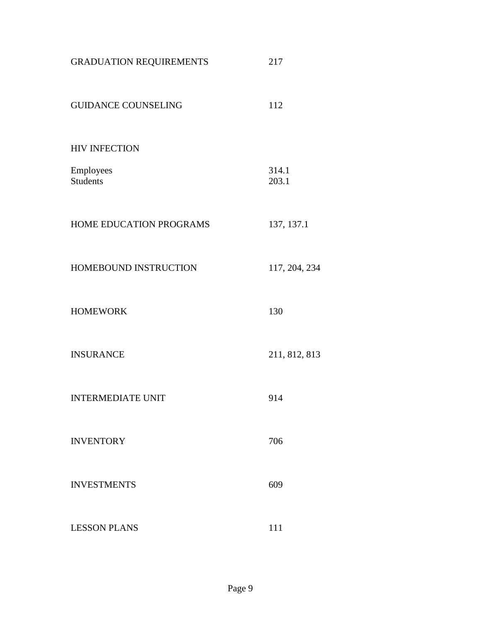| <b>GRADUATION REQUIREMENTS</b> | 217            |
|--------------------------------|----------------|
| <b>GUIDANCE COUNSELING</b>     | 112            |
| <b>HIV INFECTION</b>           |                |
| Employees<br><b>Students</b>   | 314.1<br>203.1 |
| HOME EDUCATION PROGRAMS        | 137, 137.1     |
| HOMEBOUND INSTRUCTION          | 117, 204, 234  |
| <b>HOMEWORK</b>                | 130            |
| <b>INSURANCE</b>               | 211, 812, 813  |
| <b>INTERMEDIATE UNIT</b>       | 914            |
| <b>INVENTORY</b>               | 706            |
| <b>INVESTMENTS</b>             | 609            |
| <b>LESSON PLANS</b>            | 111            |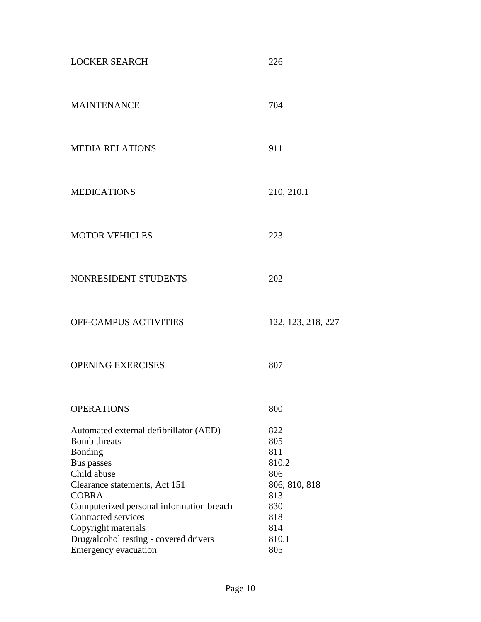| <b>LOCKER SEARCH</b>                                                                                                                                                                                                                                                                       | 226                                                                                     |
|--------------------------------------------------------------------------------------------------------------------------------------------------------------------------------------------------------------------------------------------------------------------------------------------|-----------------------------------------------------------------------------------------|
| <b>MAINTENANCE</b>                                                                                                                                                                                                                                                                         | 704                                                                                     |
| <b>MEDIA RELATIONS</b>                                                                                                                                                                                                                                                                     | 911                                                                                     |
| <b>MEDICATIONS</b>                                                                                                                                                                                                                                                                         | 210, 210.1                                                                              |
| <b>MOTOR VEHICLES</b>                                                                                                                                                                                                                                                                      | 223                                                                                     |
| NONRESIDENT STUDENTS                                                                                                                                                                                                                                                                       | 202                                                                                     |
| <b>OFF-CAMPUS ACTIVITIES</b>                                                                                                                                                                                                                                                               | 122, 123, 218, 227                                                                      |
| <b>OPENING EXERCISES</b>                                                                                                                                                                                                                                                                   | 807                                                                                     |
| <b>OPERATIONS</b>                                                                                                                                                                                                                                                                          | 800                                                                                     |
| Automated external defibrillator (AED)<br><b>Bomb</b> threats<br>Bonding<br>Bus passes<br>Child abuse<br>Clearance statements, Act 151<br><b>COBRA</b><br>Computerized personal information breach<br>Contracted services<br>Copyright materials<br>Drug/alcohol testing - covered drivers | 822<br>805<br>811<br>810.2<br>806<br>806, 810, 818<br>813<br>830<br>818<br>814<br>810.1 |
| <b>Emergency evacuation</b>                                                                                                                                                                                                                                                                | 805                                                                                     |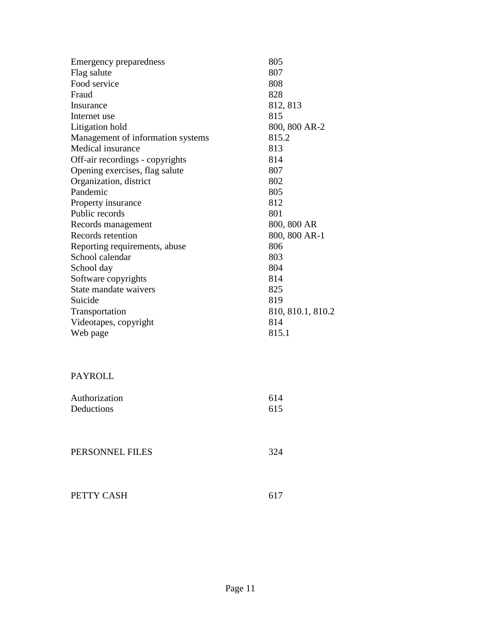|                                              | 805               |
|----------------------------------------------|-------------------|
| <b>Emergency preparedness</b><br>Flag salute | 807               |
| Food service                                 | 808               |
| Fraud                                        | 828               |
|                                              |                   |
| Insurance                                    | 812, 813          |
| Internet use                                 | 815               |
| Litigation hold                              | 800, 800 AR-2     |
| Management of information systems            | 815.2             |
| Medical insurance                            | 813               |
| Off-air recordings - copyrights              | 814               |
| Opening exercises, flag salute               | 807               |
| Organization, district                       | 802               |
| Pandemic                                     | 805               |
| Property insurance                           | 812               |
| Public records                               | 801               |
| Records management                           | 800, 800 AR       |
| Records retention                            | 800, 800 AR-1     |
| Reporting requirements, abuse                | 806               |
| School calendar                              | 803               |
| School day                                   | 804               |
| Software copyrights                          | 814               |
| State mandate waivers                        | 825               |
| Suicide                                      | 819               |
| Transportation                               | 810, 810.1, 810.2 |
| Videotapes, copyright                        | 814               |
| Web page                                     | 815.1             |
|                                              |                   |
|                                              |                   |
| <b>PAYROLL</b>                               |                   |
| Authorization                                | 614               |
| Deductions                                   | 615               |
|                                              |                   |
|                                              |                   |
| PERSONNEL FILES                              | 324               |
|                                              |                   |
|                                              |                   |
| PETTY CASH                                   | 617               |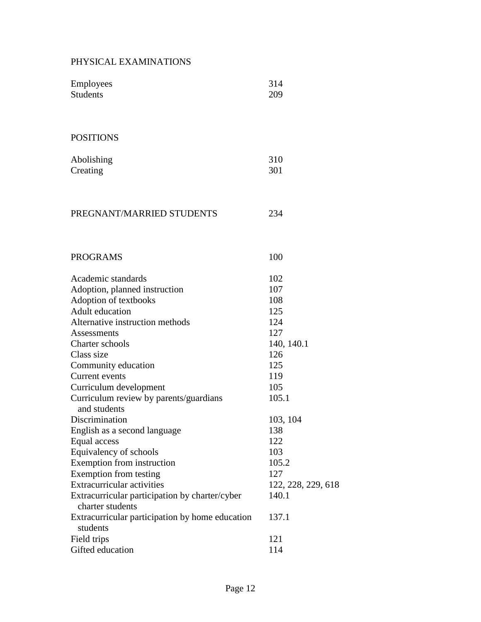### PHYSICAL EXAMINATIONS

| <b>Employees</b>                                | 314                |
|-------------------------------------------------|--------------------|
| <b>Students</b>                                 | 209                |
|                                                 |                    |
|                                                 |                    |
| <b>POSITIONS</b>                                |                    |
| Abolishing                                      | 310                |
| Creating                                        | 301                |
|                                                 |                    |
|                                                 |                    |
|                                                 |                    |
| PREGNANT/MARRIED STUDENTS                       | 234                |
|                                                 |                    |
|                                                 |                    |
| <b>PROGRAMS</b>                                 | 100                |
| Academic standards                              | 102                |
| Adoption, planned instruction                   | 107                |
| Adoption of textbooks                           | 108                |
| Adult education                                 | 125                |
| Alternative instruction methods                 | 124                |
| Assessments                                     | 127                |
| Charter schools                                 | 140, 140.1         |
| Class size                                      | 126                |
| Community education                             | 125                |
| Current events                                  | 119                |
| Curriculum development                          | 105                |
| Curriculum review by parents/guardians          | 105.1              |
| and students                                    |                    |
| Discrimination                                  | 103, 104           |
| English as a second language                    | 138                |
| Equal access                                    | 122                |
| Equivalency of schools                          | 103                |
| Exemption from instruction                      | 105.2              |
| Exemption from testing                          | 127                |
| Extracurricular activities                      | 122, 228, 229, 618 |
| Extracurricular participation by charter/cyber  | 140.1              |
| charter students                                |                    |
| Extracurricular participation by home education | 137.1              |
| students                                        |                    |
| Field trips                                     | 121                |
| Gifted education                                | 114                |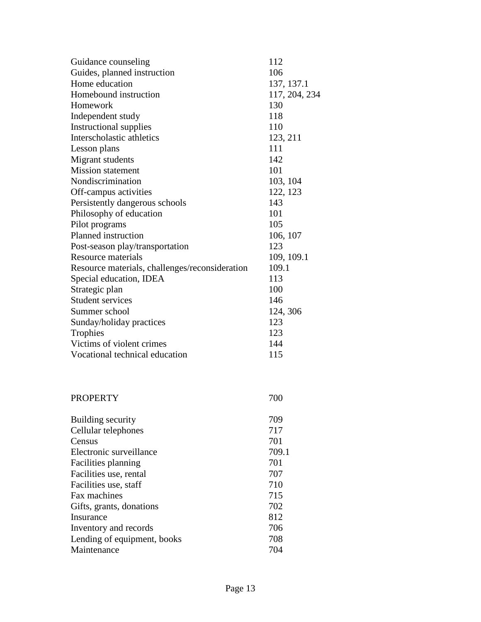|                                                | 112           |
|------------------------------------------------|---------------|
| Guidance counseling                            |               |
| Guides, planned instruction                    | 106           |
| Home education                                 | 137, 137.1    |
| Homebound instruction                          | 117, 204, 234 |
| Homework                                       | 130           |
| Independent study                              | 118           |
| <b>Instructional supplies</b>                  | 110           |
| Interscholastic athletics                      | 123, 211      |
| Lesson plans                                   | 111           |
| Migrant students                               | 142           |
| <b>Mission statement</b>                       | 101           |
| Nondiscrimination                              | 103, 104      |
| Off-campus activities                          | 122, 123      |
| Persistently dangerous schools                 | 143           |
| Philosophy of education                        | 101           |
| Pilot programs                                 | 105           |
| Planned instruction                            | 106, 107      |
| Post-season play/transportation                | 123           |
| <b>Resource materials</b>                      | 109, 109.1    |
| Resource materials, challenges/reconsideration | 109.1         |
| Special education, IDEA                        | 113           |
| Strategic plan                                 | 100           |
| <b>Student services</b>                        | 146           |
| Summer school                                  | 124, 306      |
| Sunday/holiday practices                       | 123           |
| Trophies                                       | 123           |
| Victims of violent crimes                      | 144           |
| Vocational technical education                 | 115           |
|                                                |               |
| <b>PROPERTY</b>                                | 700           |
| Building security                              | 709           |
| Cellular telephones                            | 717           |
| Census                                         | 701           |
| Electronic surveillance                        | 709.1         |
| Facilities planning                            | 701           |
| Facilities use, rental                         | 707           |
| Facilities use, staff                          | 710           |
| Fax machines                                   | 715           |
| Gifts, grants, donations                       | 702           |
| Insurance                                      | 812           |
| Inventory and records                          | 706           |
| Lending of equipment, books                    | 708           |
| Maintenance                                    | 704           |
|                                                |               |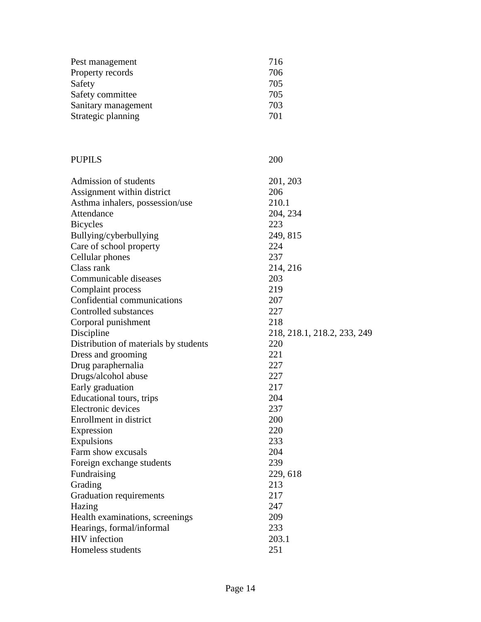| Pest management     | 716 |
|---------------------|-----|
| Property records    | 706 |
| Safety              | 705 |
| Safety committee    | 705 |
| Sanitary management | 703 |
| Strategic planning  | 701 |

# PUPILS 200

| Admission of students                 | 201, 203                    |
|---------------------------------------|-----------------------------|
| Assignment within district            | 206                         |
| Asthma inhalers, possession/use       | 210.1                       |
| Attendance                            | 204, 234                    |
| <b>Bicycles</b>                       | 223                         |
| Bullying/cyberbullying                | 249, 815                    |
| Care of school property               | 224                         |
| Cellular phones                       | 237                         |
| Class rank                            | 214, 216                    |
| Communicable diseases                 | 203                         |
| Complaint process                     | 219                         |
| Confidential communications           | 207                         |
| Controlled substances                 | 227                         |
| Corporal punishment                   | 218                         |
| Discipline                            | 218, 218.1, 218.2, 233, 249 |
| Distribution of materials by students | 220                         |
| Dress and grooming                    | 221                         |
| Drug paraphernalia                    | 227                         |
| Drugs/alcohol abuse                   | 227                         |
| Early graduation                      | 217                         |
| Educational tours, trips              | 204                         |
| Electronic devices                    | 237                         |
| Enrollment in district                | 200                         |
| Expression                            | 220                         |
| Expulsions                            | 233                         |
| Farm show excusals                    | 204                         |
| Foreign exchange students             | 239                         |
| Fundraising                           | 229, 618                    |
| Grading                               | 213                         |
| <b>Graduation requirements</b>        | 217                         |
| Hazing                                | 247                         |
| Health examinations, screenings       | 209                         |
| Hearings, formal/informal             | 233                         |
| <b>HIV</b> infection                  | 203.1                       |
| Homeless students                     | 251                         |
|                                       |                             |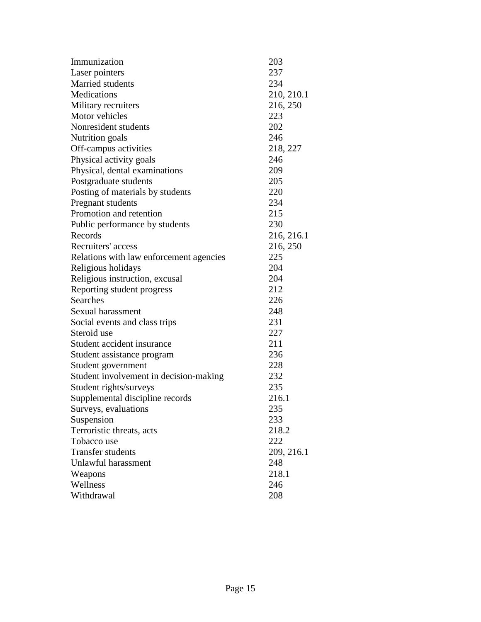| Immunization                            | 203        |
|-----------------------------------------|------------|
| Laser pointers                          | 237        |
| Married students                        | 234        |
| Medications                             | 210, 210.1 |
| Military recruiters                     | 216, 250   |
| Motor vehicles                          | 223        |
| Nonresident students                    | 202        |
| <b>Nutrition</b> goals                  | 246        |
| Off-campus activities                   | 218, 227   |
| Physical activity goals                 | 246        |
| Physical, dental examinations           | 209        |
| Postgraduate students                   | 205        |
| Posting of materials by students        | 220        |
| Pregnant students                       | 234        |
| Promotion and retention                 | 215        |
| Public performance by students          | 230        |
| Records                                 | 216, 216.1 |
| Recruiters' access                      | 216, 250   |
| Relations with law enforcement agencies | 225        |
| Religious holidays                      | 204        |
| Religious instruction, excusal          | 204        |
| Reporting student progress              | 212        |
| <b>Searches</b>                         | 226        |
| Sexual harassment                       | 248        |
| Social events and class trips           | 231        |
| Steroid use                             | 227        |
| Student accident insurance              | 211        |
| Student assistance program              | 236        |
| Student government                      | 228        |
| Student involvement in decision-making  | 232        |
| Student rights/surveys                  | 235        |
| Supplemental discipline records         | 216.1      |
| Surveys, evaluations                    | 235        |
| Suspension                              | 233        |
| Terroristic threats, acts               | 218.2      |
| Tobacco use                             | 222        |
| <b>Transfer students</b>                | 209, 216.1 |
| Unlawful harassment                     | 248        |
| Weapons                                 | 218.1      |
| Wellness                                | 246        |
| Withdrawal                              | 208        |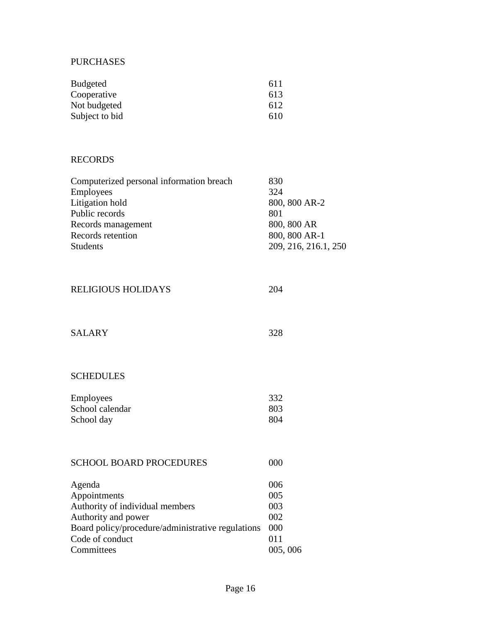### PURCHASES

| Budgeted       | 611 |
|----------------|-----|
| Cooperative    | 613 |
| Not budgeted   | 612 |
| Subject to bid | 610 |

### RECORDS

| 830                  |
|----------------------|
| 324                  |
| 800, 800 AR-2        |
| 801                  |
| 800, 800 AR          |
| 800, 800 AR-1        |
| 209, 216, 216.1, 250 |
|                      |

### RELIGIOUS HOLIDAYS 204

| <b>SALARY</b> | 328 |
|---------------|-----|
|               |     |

# SCHEDULES

| <b>Employees</b> | 332  |
|------------------|------|
| School calendar  | 803  |
| School day       | -804 |

| <b>SCHOOL BOARD PROCEDURES</b>                    | 000     |
|---------------------------------------------------|---------|
| Agenda                                            | 006     |
| Appointments                                      | 005     |
| Authority of individual members                   | 003     |
| Authority and power                               | 002     |
| Board policy/procedure/administrative regulations | 000     |
| Code of conduct                                   | 011     |
| Committees                                        | 005,006 |
|                                                   |         |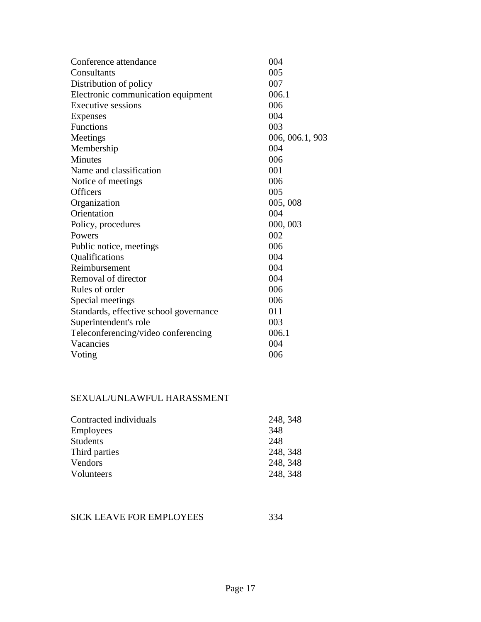| Conference attendance                  | 004             |
|----------------------------------------|-----------------|
| Consultants                            | 005             |
| Distribution of policy                 | 007             |
| Electronic communication equipment     | 006.1           |
| Executive sessions                     | 006             |
| Expenses                               | 004             |
| Functions                              | 003             |
| Meetings                               | 006, 006.1, 903 |
| Membership                             | 004             |
| <b>Minutes</b>                         | 006             |
| Name and classification                | 001             |
| Notice of meetings                     | 006             |
| <b>Officers</b>                        | 005             |
| Organization                           | 005,008         |
| Orientation                            | 004             |
| Policy, procedures                     | 000, 003        |
| Powers                                 | 002             |
| Public notice, meetings                | 006             |
| Qualifications                         | 004             |
| Reimbursement                          | 004             |
| Removal of director                    | 004             |
| Rules of order                         | 006             |
| Special meetings                       | 006             |
| Standards, effective school governance | 011             |
| Superintendent's role                  | 003             |
| Teleconferencing/video conferencing    | 006.1           |
| Vacancies                              | 004             |
| Voting                                 | 006             |
|                                        |                 |

### SEXUAL/UNLAWFUL HARASSMENT

| Contracted individuals | 248, 348 |
|------------------------|----------|
| <b>Employees</b>       | 348      |
| <b>Students</b>        | 248      |
| Third parties          | 248, 348 |
| Vendors                | 248, 348 |
| Volunteers             | 248, 348 |

## SICK LEAVE FOR EMPLOYEES 334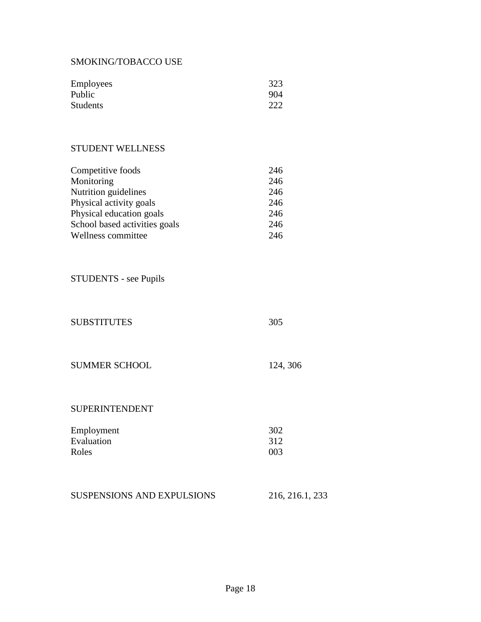### SMOKING/TOBACCO USE

| <b>Employees</b> | 323 |
|------------------|-----|
| Public           | 904 |
| <b>Students</b>  | 222 |

## STUDENT WELLNESS

| Competitive foods             | 246 |
|-------------------------------|-----|
| Monitoring                    | 246 |
| Nutrition guidelines          | 246 |
| Physical activity goals       | 246 |
| Physical education goals      | 246 |
| School based activities goals | 246 |
| Wellness committee            | 246 |

STUDENTS - see Pupils

| <b>SUBSTITUTES</b>   | 305      |
|----------------------|----------|
|                      |          |
|                      |          |
| <b>SUMMER SCHOOL</b> | 124, 306 |

### SUPERINTENDENT

| Employment | 302 |
|------------|-----|
| Evaluation | 312 |
| Roles      | 003 |

| <b>SUSPENSIONS AND EXPULSIONS</b> | 216, 216.1, 233 |
|-----------------------------------|-----------------|
|-----------------------------------|-----------------|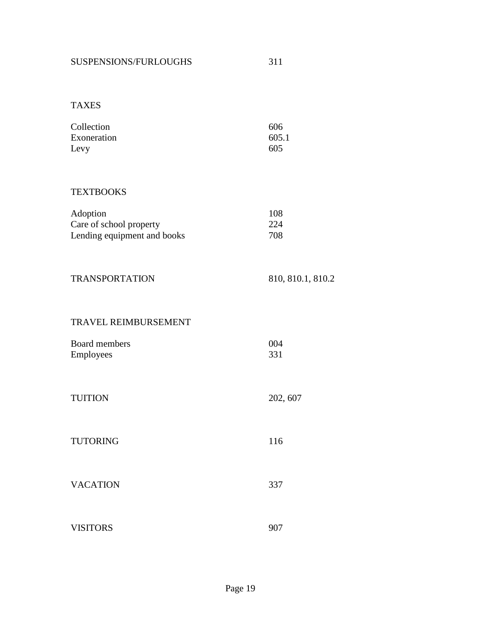| Collection  | 606   |
|-------------|-------|
| Exoneration | 605.1 |
| Levy        | 605   |

## **TEXTBOOKS**

| Adoption                    | 108 |
|-----------------------------|-----|
| Care of school property     | 224 |
| Lending equipment and books | 708 |

| TRANSPORTATION | 810, 810.1, 810.2 |
|----------------|-------------------|
|                |                   |

### TRAVEL REIMBURSEMENT

| Board members    | 004 |
|------------------|-----|
| <b>Employees</b> | 331 |

| <b>TUITION</b>  | 202, 607 |
|-----------------|----------|
| <b>TUTORING</b> | 116      |
| <b>VACATION</b> | 337      |

VISITORS 907